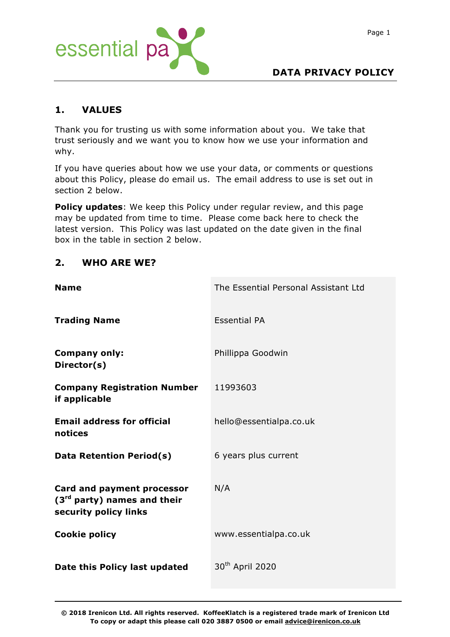

# **1. VALUES**

Thank you for trusting us with some information about you. We take that trust seriously and we want you to know how we use your information and why.

If you have queries about how we use your data, or comments or questions about this Policy, please do email us. The email address to use is set out in section 2 below.

**Policy updates**: We keep this Policy under regular review, and this page may be updated from time to time. Please come back here to check the latest version. This Policy was last updated on the date given in the final box in the table in section 2 below.

| <b>Name</b>                                                                                           | The Essential Personal Assistant Ltd |
|-------------------------------------------------------------------------------------------------------|--------------------------------------|
| <b>Trading Name</b>                                                                                   | <b>Essential PA</b>                  |
| <b>Company only:</b><br>Director(s)                                                                   | Phillippa Goodwin                    |
| <b>Company Registration Number</b><br>if applicable                                                   | 11993603                             |
| <b>Email address for official</b><br>notices                                                          | hello@essentialpa.co.uk              |
| Data Retention Period(s)                                                                              | 6 years plus current                 |
| <b>Card and payment processor</b><br>(3 <sup>rd</sup> party) names and their<br>security policy links | N/A                                  |
| <b>Cookie policy</b>                                                                                  | www.essentialpa.co.uk                |
| Date this Policy last updated                                                                         | 30 <sup>th</sup> April 2020          |

**2. WHO ARE WE?**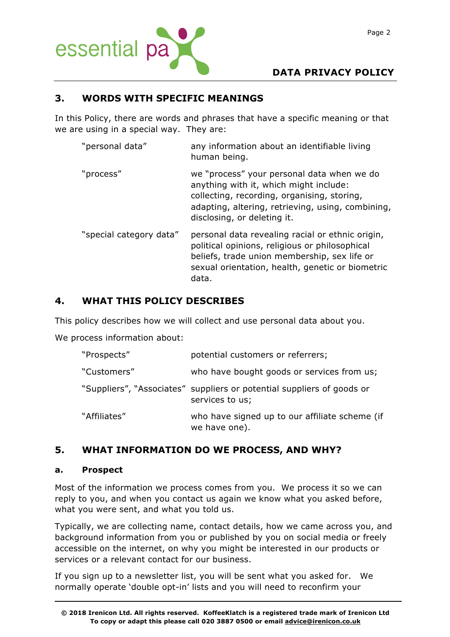

## **3. WORDS WITH SPECIFIC MEANINGS**

In this Policy, there are words and phrases that have a specific meaning or that we are using in a special way. They are:

| "personal data"         | any information about an identifiable living<br>human being.                                                                                                                                                            |
|-------------------------|-------------------------------------------------------------------------------------------------------------------------------------------------------------------------------------------------------------------------|
| "process"               | we "process" your personal data when we do<br>anything with it, which might include:<br>collecting, recording, organising, storing,<br>adapting, altering, retrieving, using, combining,<br>disclosing, or deleting it. |
| "special category data" | personal data revealing racial or ethnic origin,<br>political opinions, religious or philosophical<br>beliefs, trade union membership, sex life or<br>sexual orientation, health, genetic or biometric<br>data.         |

# **4. WHAT THIS POLICY DESCRIBES**

This policy describes how we will collect and use personal data about you.

We process information about:

| "Prospects"  | potential customers or referrers;                                                         |
|--------------|-------------------------------------------------------------------------------------------|
| "Customers"  | who have bought goods or services from us;                                                |
|              | "Suppliers", "Associates" suppliers or potential suppliers of goods or<br>services to us; |
| "Affiliates" | who have signed up to our affiliate scheme (if<br>we have one).                           |

# **5. WHAT INFORMATION DO WE PROCESS, AND WHY?**

#### **a. Prospect**

Most of the information we process comes from you. We process it so we can reply to you, and when you contact us again we know what you asked before, what you were sent, and what you told us.

Typically, we are collecting name, contact details, how we came across you, and background information from you or published by you on social media or freely accessible on the internet, on why you might be interested in our products or services or a relevant contact for our business.

If you sign up to a newsletter list, you will be sent what you asked for. We normally operate 'double opt-in' lists and you will need to reconfirm your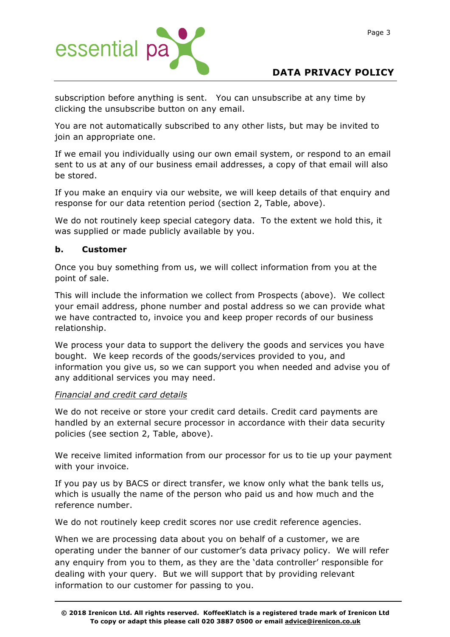

# **DATA PRIVACY POLICY**

subscription before anything is sent. You can unsubscribe at any time by clicking the unsubscribe button on any email.

You are not automatically subscribed to any other lists, but may be invited to join an appropriate one.

If we email you individually using our own email system, or respond to an email sent to us at any of our business email addresses, a copy of that email will also be stored.

If you make an enquiry via our website, we will keep details of that enquiry and response for our data retention period (section 2, Table, above).

We do not routinely keep special category data. To the extent we hold this, it was supplied or made publicly available by you.

#### **b. Customer**

Once you buy something from us, we will collect information from you at the point of sale.

This will include the information we collect from Prospects (above). We collect your email address, phone number and postal address so we can provide what we have contracted to, invoice you and keep proper records of our business relationship.

We process your data to support the delivery the goods and services you have bought. We keep records of the goods/services provided to you, and information you give us, so we can support you when needed and advise you of any additional services you may need.

#### *Financial and credit card details*

We do not receive or store your credit card details. Credit card payments are handled by an external secure processor in accordance with their data security policies (see section 2, Table, above).

We receive limited information from our processor for us to tie up your payment with your invoice.

If you pay us by BACS or direct transfer, we know only what the bank tells us, which is usually the name of the person who paid us and how much and the reference number.

We do not routinely keep credit scores nor use credit reference agencies.

When we are processing data about you on behalf of a customer, we are operating under the banner of our customer's data privacy policy. We will refer any enquiry from you to them, as they are the 'data controller' responsible for dealing with your query. But we will support that by providing relevant information to our customer for passing to you.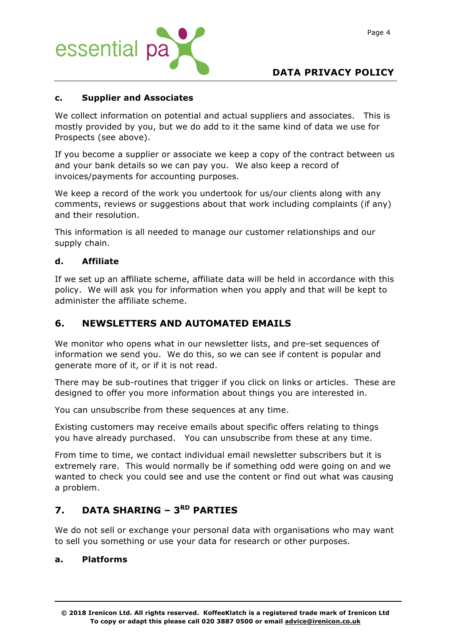

# **DATA PRIVACY POLICY**

#### **c. Supplier and Associates**

We collect information on potential and actual suppliers and associates. This is mostly provided by you, but we do add to it the same kind of data we use for Prospects (see above).

If you become a supplier or associate we keep a copy of the contract between us and your bank details so we can pay you. We also keep a record of invoices/payments for accounting purposes.

We keep a record of the work you undertook for us/our clients along with any comments, reviews or suggestions about that work including complaints (if any) and their resolution.

This information is all needed to manage our customer relationships and our supply chain.

#### **d. Affiliate**

If we set up an affiliate scheme, affiliate data will be held in accordance with this policy. We will ask you for information when you apply and that will be kept to administer the affiliate scheme.

### **6. NEWSLETTERS AND AUTOMATED EMAILS**

We monitor who opens what in our newsletter lists, and pre-set sequences of information we send you. We do this, so we can see if content is popular and generate more of it, or if it is not read.

There may be sub-routines that trigger if you click on links or articles. These are designed to offer you more information about things you are interested in.

You can unsubscribe from these sequences at any time.

Existing customers may receive emails about specific offers relating to things you have already purchased. You can unsubscribe from these at any time.

From time to time, we contact individual email newsletter subscribers but it is extremely rare. This would normally be if something odd were going on and we wanted to check you could see and use the content or find out what was causing a problem.

# **7. DATA SHARING – 3RD PARTIES**

We do not sell or exchange your personal data with organisations who may want to sell you something or use your data for research or other purposes.

### **a. Platforms**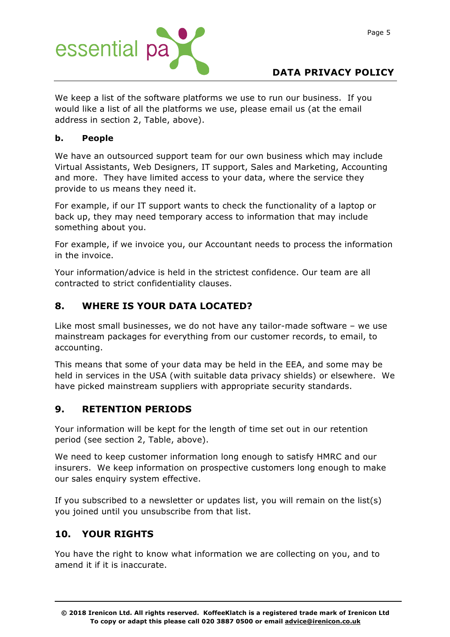

We keep a list of the software platforms we use to run our business. If you would like a list of all the platforms we use, please email us (at the email address in section 2, Table, above).

### **b. People**

We have an outsourced support team for our own business which may include Virtual Assistants, Web Designers, IT support, Sales and Marketing, Accounting and more. They have limited access to your data, where the service they provide to us means they need it.

For example, if our IT support wants to check the functionality of a laptop or back up, they may need temporary access to information that may include something about you.

For example, if we invoice you, our Accountant needs to process the information in the invoice.

Your information/advice is held in the strictest confidence. Our team are all contracted to strict confidentiality clauses.

# **8. WHERE IS YOUR DATA LOCATED?**

Like most small businesses, we do not have any tailor-made software – we use mainstream packages for everything from our customer records, to email, to accounting.

This means that some of your data may be held in the EEA, and some may be held in services in the USA (with suitable data privacy shields) or elsewhere. We have picked mainstream suppliers with appropriate security standards.

# **9. RETENTION PERIODS**

Your information will be kept for the length of time set out in our retention period (see section 2, Table, above).

We need to keep customer information long enough to satisfy HMRC and our insurers. We keep information on prospective customers long enough to make our sales enquiry system effective.

If you subscribed to a newsletter or updates list, you will remain on the list(s) you joined until you unsubscribe from that list.

# **10. YOUR RIGHTS**

You have the right to know what information we are collecting on you, and to amend it if it is inaccurate.